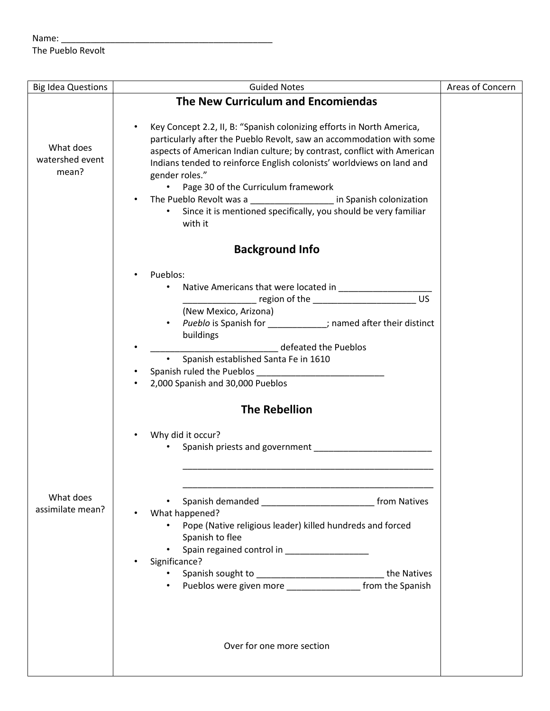## Name: \_\_\_\_\_\_\_\_\_\_\_\_\_\_\_\_\_\_\_\_\_\_\_\_\_\_\_\_\_\_\_\_\_\_\_\_\_\_\_\_\_\_\_

The Pueblo Revolt

| <b>Big Idea Questions</b>             | <b>Guided Notes</b>                                                                                                                                                                                                                                                                                                                                                                                                                                                                                                                | Areas of Concern |
|---------------------------------------|------------------------------------------------------------------------------------------------------------------------------------------------------------------------------------------------------------------------------------------------------------------------------------------------------------------------------------------------------------------------------------------------------------------------------------------------------------------------------------------------------------------------------------|------------------|
|                                       | The New Curriculum and Encomiendas                                                                                                                                                                                                                                                                                                                                                                                                                                                                                                 |                  |
| What does<br>watershed event<br>mean? | Key Concept 2.2, II, B: "Spanish colonizing efforts in North America,<br>٠<br>particularly after the Pueblo Revolt, saw an accommodation with some<br>aspects of American Indian culture; by contrast, conflict with American<br>Indians tended to reinforce English colonists' worldviews on land and<br>gender roles."<br>Page 30 of the Curriculum framework<br>$\bullet$<br>The Pueblo Revolt was a ____________________ in Spanish colonization<br>Since it is mentioned specifically, you should be very familiar<br>with it |                  |
|                                       | <b>Background Info</b>                                                                                                                                                                                                                                                                                                                                                                                                                                                                                                             |                  |
|                                       | Pueblos:<br><b>US</b><br>(New Mexico, Arizona)<br>Pueblo is Spanish for ___________; named after their distinct<br>$\bullet$<br>buildings<br>defeated the Pueblos<br>Spanish established Santa Fe in 1610<br>2,000 Spanish and 30,000 Pueblos                                                                                                                                                                                                                                                                                      |                  |
|                                       | <b>The Rebellion</b>                                                                                                                                                                                                                                                                                                                                                                                                                                                                                                               |                  |
|                                       | Why did it occur?                                                                                                                                                                                                                                                                                                                                                                                                                                                                                                                  |                  |
| What does<br>assimilate mean?         | Spanish demanded __________________________________ from Natives<br>What happened?<br>Pope (Native religious leader) killed hundreds and forced<br>$\bullet$<br>Spanish to flee<br>Spain regained control in __________________<br>Significance?<br>Spanish sought to _________________________________the Natives<br>$\bullet$<br>Pueblos were given more ___________________ from the Spanish                                                                                                                                    |                  |
|                                       | Over for one more section                                                                                                                                                                                                                                                                                                                                                                                                                                                                                                          |                  |